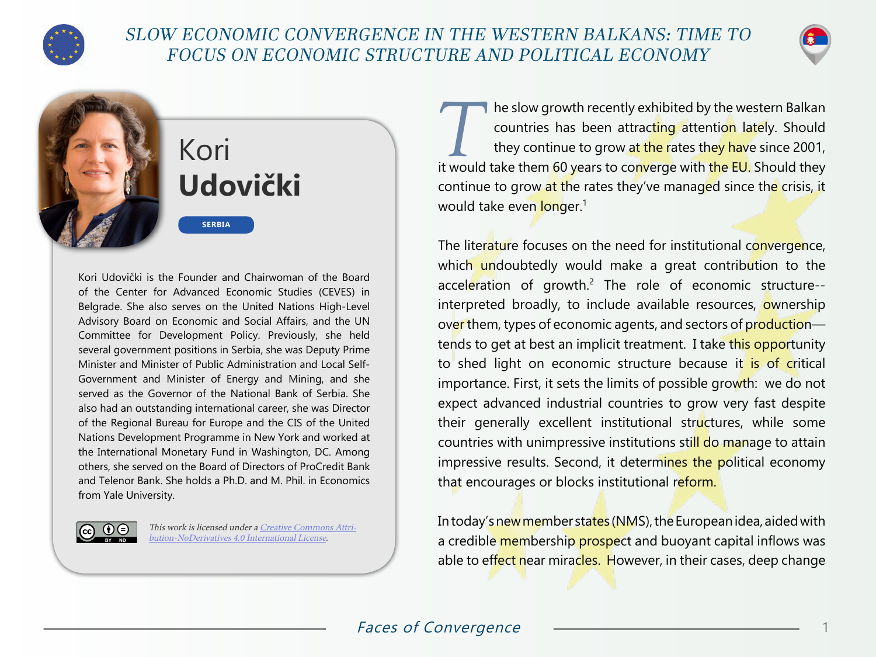

# SLOW ECONOMIC CONVERGENCE IN THE WESTERN BALKANS: TIME TO FOCUS ON ECONOMIC STRUCTURE AND POLITICAL ECONOMY



# Kori **Udovički**

**SERBIA**

Kori Udovički is the Founder and Chairwoman of the Board of the Center for Advanced Economic Studies (CEVES) in Belgrade. She also serves on the United Nations High-Level Advisory Board on Economic and Social Affairs, and the UN Committee for Development Policy. Previously, she held several government positions in Serbia, she was Deputy Prime Minister and Minister of Public Administration and Local Self-Government and Minister of Energy and Mining, and she served as the Governor of the National Bank of Serbia. She also had an outstanding international career, she was Director of the Regional Bureau for Europe and the CIS of the United Nations Development Programme in New York and worked at the International Monetary Fund in Washington, DC. Among others, she served on the Board of Directors of ProCredit Bank and Telenor Bank. She holds a Ph.D. and M. Phil. in Economics from Yale University.



This work is licensed under a [Creative Commons Attri](https://creativecommons.org/licenses/by-nd/4.0/)[bution-NoDerivatives 4.0 International License](https://creativecommons.org/licenses/by-nd/4.0/).

The slow growth recently exhibited by the western Balkan countries has been attracting attention lately. Should they continue to grow at the rates they have since 2001, countries has been attracting attention lately. Should it would take them 60 years to converge with the EU. Should they continue to grow at the rates they've managed since the crisis, it would take even longer.<sup>1</sup>

The literature focuses on the need for institutional convergence, which undoubtedly would make a great contribution to the acceleration of growth.<sup>2</sup> The role of economic structure-interpreted broadly, to include available resources, ownership over them, types of economic agents, and sectors of production tends to get at best an implicit treatment. I take this opportunity to shed light on economic structure because it is of critical importance. First, it sets the limits of possible growth: we do not expect advanced industrial countries to grow very fast despite their generally excellent institutional structures, while some countries with unimpressive institutions still do manage to attain impressive results. Second, it determines the political economy that encourages or blocks institutional reform.

In today's new member states (NMS), the European idea, aided with a credible membership prospect and buoyant capital inflows was able to effect near miracles. However, in their cases, deep change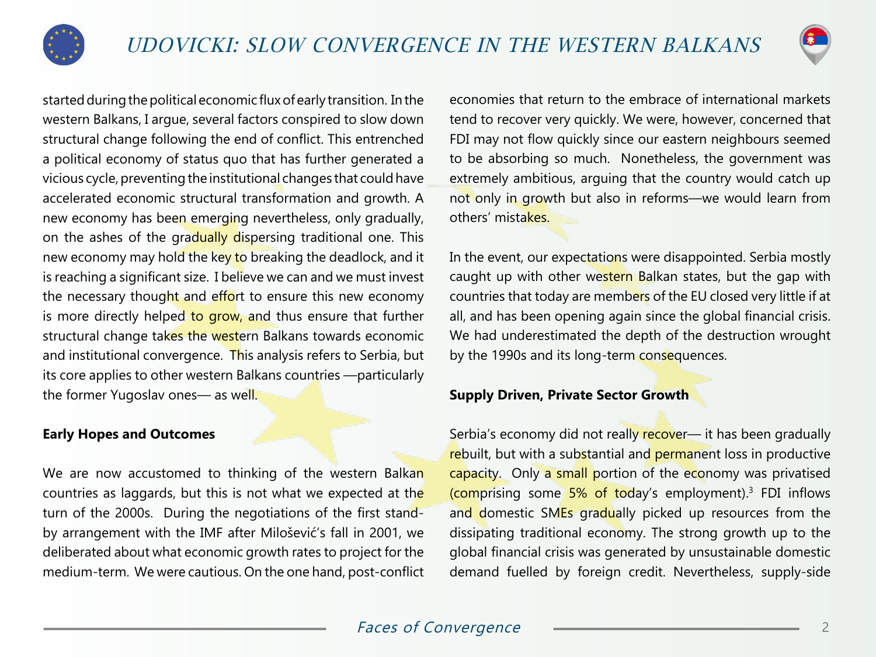



started during the political economic flux of early transition. In the western Balkans, I argue, several factors conspired to slow down structural change following the end of conflict. This entrenched a political economy of status quo that has further generated a vicious cycle, preventing the institutional changes that could have accelerated economic structural transformation and growth. A new economy has been emerging nevertheless, only gradually, on the ashes of the gradually dispersing traditional one. This new economy may hold the key to breaking the deadlock, and it is reaching a significant size. I believe we can and we must invest the necessary thought and effort to ensure this new economy is more directly helped to grow, and thus ensure that further structural change takes the western Balkans towards economic and institutional convergence. This analysis refers to Serbia, but its core applies to other western Balkans countries —particularly the former Yugoslav ones— as well.

#### **Early Hopes and Outcomes**

We are now accustomed to thinking of the western Balkan countries as laggards, but this is not what we expected at the turn of the 2000s. During the negotiations of the first standby arrangement with the IMF after Milošević's fall in 2001, we deliberated about what economic growth rates to project for the medium-term. We were cautious. On the one hand, post-conflict

economies that return to the embrace of international markets tend to recover very quickly. We were, however, concerned that FDI may not flow quickly since our eastern neighbours seemed to be absorbing so much. Nonetheless, the government was extremely ambitious, arguing that the country would catch up not only in growth but also in reforms—we would learn from others' mistakes.

In the event, our expectations were disappointed. Serbia mostly caught up with other western Balkan states, but the gap with countries that today are members of the EU closed very little if at all, and has been opening again since the global financial crisis. We had underestimated the depth of the destruction wrought by the 1990s and its long-term consequences.

### **Supply Driven, Private Sector Growth**

Serbia's economy did not really recover— it has been gradually rebuilt, but with a substantial and permanent loss in productive capacity. Only a small portion of the economy was privatised (comprising some 5% of today's employment).<sup>3</sup> FDI inflows and domestic SMEs gradually picked up resources from the dissipating traditional economy. The strong growth up to the global financial crisis was generated by unsustainable domestic demand fuelled by foreign credit. Nevertheless, supply-side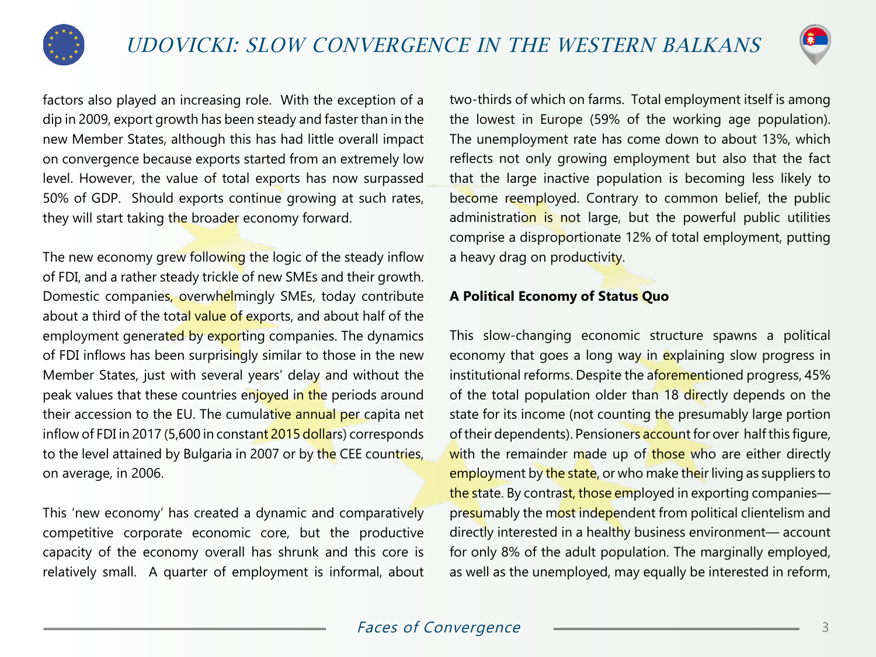



factors also played an increasing role. With the exception of a dip in 2009, export growth has been steady and faster than in the new Member States, although this has had little overall impact on convergence because exports started from an extremely low level. However, the value of total exports has now surpassed 50% of GDP. Should exports continue growing at such rates, they will start taking the broader economy forward.

The new economy grew following the logic of the steady inflow of FDI, and a rather steady trickle of new SMEs and their growth. Domestic companies, overwhelmingly SMEs, today contribute about a third of the total value of exports, and about half of the employment generated by exporting companies. The dynamics of FDI inflows has been surprisingly similar to those in the new Member States, just with several years' delay and without the peak values that these countries enjoyed in the periods around their accession to the EU. The cumulative annual per capita net inflow of FDI in 2017 (5,600 in constant 2015 dollars) corresponds to the level attained by Bulgaria in 2007 or by the CEE countries, on average, in 2006.

This 'new economy' has created a dynamic and comparatively competitive corporate economic core, but the productive capacity of the economy overall has shrunk and this core is relatively small. A quarter of employment is informal, about two-thirds of which on farms. Total employment itself is among the lowest in Europe (59% of the working age population). The unemployment rate has come down to about 13%, which reflects not only growing employment but also that the fact that the large inactive population is becoming less likely to become reemployed. Contrary to common belief, the public administration is not large, but the powerful public utilities comprise a disproportionate 12% of total employment, putting a heavy drag on productivity.

## **A Political Economy of Status Quo**

This slow-changing economic structure spawns a political economy that goes a long way in explaining slow progress in institutional reforms. Despite the aforementioned progress, 45% of the total population older than 18 directly depends on the state for its income (not counting the presumably large portion of their dependents). Pensioners account for over half this figure, with the remainder made up of those who are either directly employment by the state, or who make their living as suppliers to the state. By contrast, those employed in exporting companies presumably the most independent from political clientelism and directly interested in a healthy business environment— account for only 8% of the adult population. The marginally employed, as well as the unemployed, may equally be interested in reform,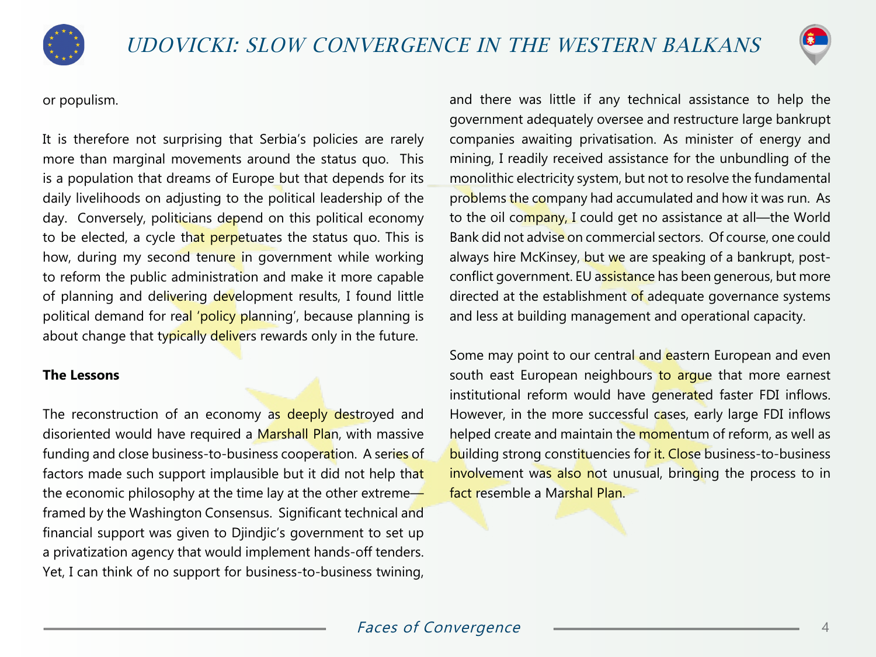



or populism.

It is therefore not surprising that Serbia's policies are rarely more than marginal movements around the status quo. This is a population that dreams of Europe but that depends for its daily livelihoods on adjusting to the political leadership of the day. Conversely, politicians depend on this political economy to be elected, a cycle that perpetuates the status quo. This is how, during my second tenure in government while working to reform the public administration and make it more capable of planning and delivering development results, I found little political demand for real 'policy planning', because planning is about change that typically delivers rewards only in the future.

#### **The Lessons**

The reconstruction of an economy as deeply destroyed and disoriented would have required a Marshall Plan, with massive funding and close business-to-business cooperation. A series of factors made such support implausible but it did not help that the economic philosophy at the time lay at the other extreme $\leftarrow$ framed by the Washington Consensus. Significant technical and financial support was given to Djindjic's government to set up a privatization agency that would implement hands-off tenders. Yet, I can think of no support for business-to-business twining,

and there was little if any technical assistance to help the government adequately oversee and restructure large bankrupt companies awaiting privatisation. As minister of energy and mining, I readily received assistance for the unbundling of the monolithic electricity system, but not to resolve the fundamental problems the company had accumulated and how it was run. As to the oil company, I could get no assistance at all-the World Bank did not advise on commercial sectors. Of course, one could always hire McKinsey, but we are speaking of a bankrupt, postconflict government. EU assistance has been generous, but more directed at the establishment of adequate governance systems and less at building management and operational capacity.

Some may point to our central and eastern European and even south east European neighbours to argue that more earnest institutional reform would have generated faster FDI inflows. However, in the more successful cases, early large FDI inflows helped create and maintain the momentum of reform, as well as building strong constituencies for it. Close business-to-business involvement was also not unusual, bringing the process to in fact resemble a Marshal Plan.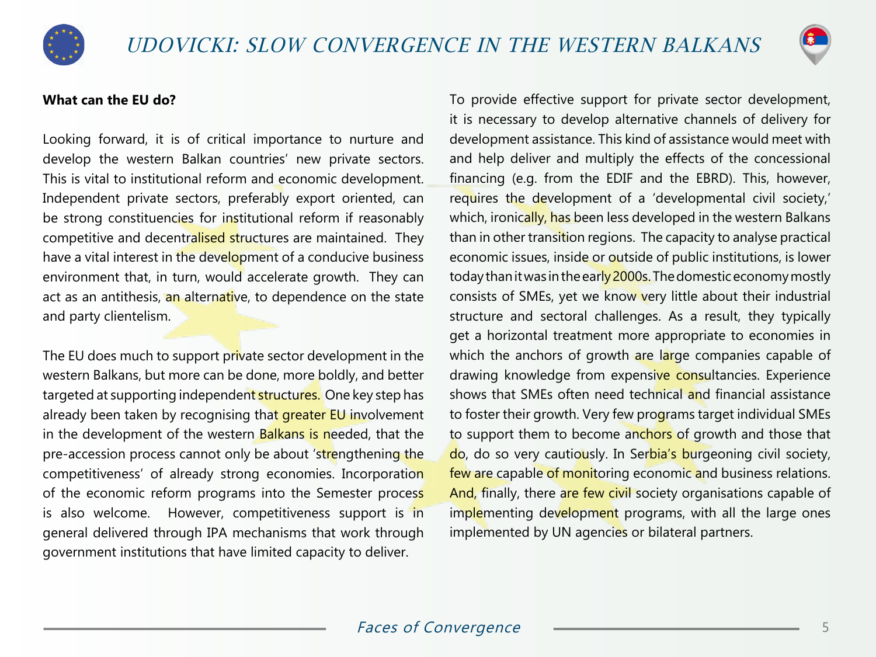



#### **What can the EU do?**

Looking forward, it is of critical importance to nurture and develop the western Balkan countries' new private sectors. This is vital to institutional reform and economic development. Independent private sectors, preferably export oriented, can be strong constituencies for institutional reform if reasonably competitive and decentralised structures are maintained. They have a vital interest in the development of a conducive business environment that, in turn, would accelerate growth. They can act as an antithesis, an alternative, to dependence on the state and party clientelism.

The EU does much to support private sector development in the western Balkans, but more can be done, more boldly, and better targeted at supporting independent structures. One key step has already been taken by recognising that greater EU involvement in the development of the western Balkans is needed, that the pre-accession process cannot only be about 'strengthening the competitiveness' of already strong economies. Incorporation of the economic reform programs into the Semester process is also welcome. However, competitiveness support is in general delivered through IPA mechanisms that work through government institutions that have limited capacity to deliver.

To provide effective support for private sector development, it is necessary to develop alternative channels of delivery for development assistance. This kind of assistance would meet with and help deliver and multiply the effects of the concessional financing (e.g. from the EDIF and the EBRD). This, however, requires the development of a 'developmental civil society,' which, ironically, has been less developed in the western Balkans than in other transition regions. The capacity to analyse practical economic issues, inside or outside of public institutions, is lower today than it was in the early 2000s. The domestic economy mostly consists of SMEs, yet we know very little about their industrial structure and sectoral challenges. As a result, they typically get a horizontal treatment more appropriate to economies in which the anchors of growth are large companies capable of drawing knowledge from expensive consultancies. Experience shows that SMEs often need technical and financial assistance to foster their growth. Very few programs target individual SMEs to support them to become anchors of growth and those that do, do so very cautiously. In Serbia's burgeoning civil society, few are capable of monitoring economic and business relations. And, finally, there are few civil society organisations capable of implementing development programs, with all the large ones implemented by UN agencies or bilateral partners.